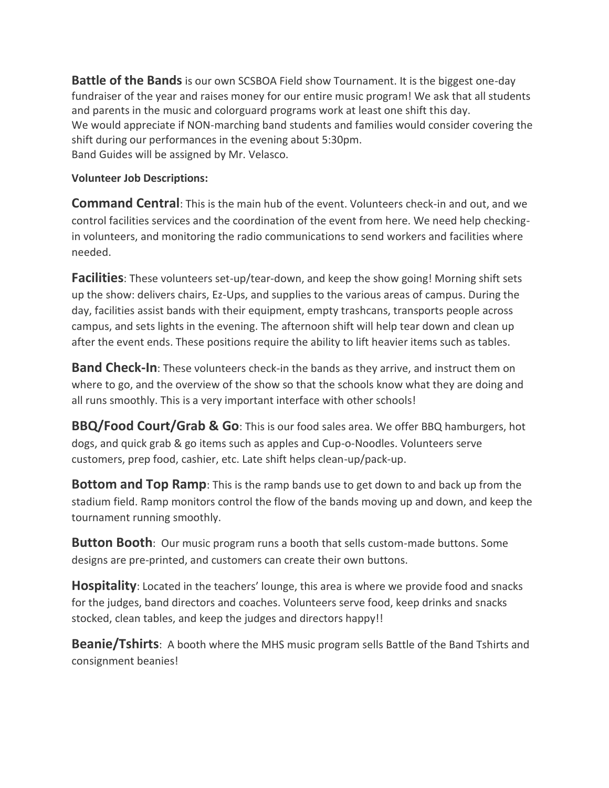**Battle of the Bands** is our own SCSBOA Field show Tournament. It is the biggest one-day fundraiser of the year and raises money for our entire music program! We ask that all students and parents in the music and colorguard programs work at least one shift this day. We would appreciate if NON-marching band students and families would consider covering the shift during our performances in the evening about 5:30pm. Band Guides will be assigned by Mr. Velasco.

## **Volunteer Job Descriptions:**

**Command Central**: This is the main hub of the event. Volunteers check-in and out, and we control facilities services and the coordination of the event from here. We need help checkingin volunteers, and monitoring the radio communications to send workers and facilities where needed.

**Facilities**: These volunteers set-up/tear-down, and keep the show going! Morning shift sets up the show: delivers chairs, Ez-Ups, and supplies to the various areas of campus. During the day, facilities assist bands with their equipment, empty trashcans, transports people across campus, and sets lights in the evening. The afternoon shift will help tear down and clean up after the event ends. These positions require the ability to lift heavier items such as tables.

**Band Check-In**: These volunteers check-in the bands as they arrive, and instruct them on where to go, and the overview of the show so that the schools know what they are doing and all runs smoothly. This is a very important interface with other schools!

**BBQ/Food Court/Grab & Go**: This is our food sales area. We offer BBQ hamburgers, hot dogs, and quick grab & go items such as apples and Cup-o-Noodles. Volunteers serve customers, prep food, cashier, etc. Late shift helps clean-up/pack-up.

**Bottom and Top Ramp**: This is the ramp bands use to get down to and back up from the stadium field. Ramp monitors control the flow of the bands moving up and down, and keep the tournament running smoothly.

**Button Booth**: Our music program runs a booth that sells custom-made buttons. Some designs are pre-printed, and customers can create their own buttons.

**Hospitality**: Located in the teachers' lounge, this area is where we provide food and snacks for the judges, band directors and coaches. Volunteers serve food, keep drinks and snacks stocked, clean tables, and keep the judges and directors happy!!

**Beanie/Tshirts**: A booth where the MHS music program sells Battle of the Band Tshirts and consignment beanies!